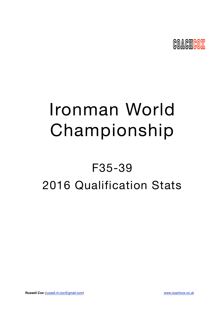

# Ironman World Championship

## F35-39 2016 Qualification Stats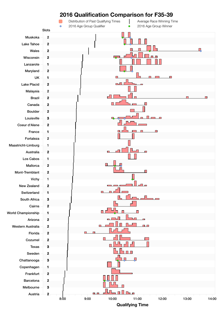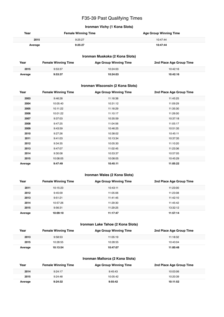## F35-39 Past Qualifying Times

#### **Ironman Vichy (1 Kona Slots)**

| Year    | <b>Female Winning Time</b> | <b>Age Group Winning Time</b> |
|---------|----------------------------|-------------------------------|
| 2015    | 9:25:27                    | 10:47:44                      |
| Average | 9:25:27                    | 10:47:44                      |

#### **Ironman Muskoka (2 Kona Slots)**

| Year    | <b>Female Winning Time</b> | <b>Age Group Winning Time</b> | 2nd Place Age Group Time |
|---------|----------------------------|-------------------------------|--------------------------|
| 2015    | 9:53:37                    | 10:24:03                      | 10:42:16                 |
| Average | 9:53:37                    | 10:24:03                      | 10:42:16                 |

#### **Ironman Wisconsin (2 Kona Slots)**

| Year    | <b>Female Winning Time</b> | <b>Age Group Winning Time</b> | 2nd Place Age Group Time |
|---------|----------------------------|-------------------------------|--------------------------|
| 2003    | 9:46:28                    | 11:18:38                      | 11:45:25                 |
| 2004    | 10:05:40                   | 10:31:12                      | 11:09:29                 |
| 2005    | 10:11:22                   | 11:18:29                      | 11:35:30                 |
| 2006    | 10:01:22                   | 11:10:17                      | 11:26:00                 |
| 2007    | 9:37:03                    | 10:35:59                      | 10:37:18                 |
| 2008    | 9:47:25                    | 11:04:56                      | 11:05:17                 |
| 2009    | 9:43:59                    | 10:46:25                      | 10:51:35                 |
| 2010    | 9:27:26                    | 10:38:02                      | 10:45:11                 |
| 2011    | 9:41:03                    | 10:13:34                      | 10:37:35                 |
| 2012    | 9:34:35                    | 10:05:30                      | 11:10:20                 |
| 2013    | 9:47:07                    | 11:02:45                      | 11:23:36                 |
| 2014    | 9:30:08                    | 10:53:37                      | 10:57:05                 |
| 2015    | 10:08:05                   | 10:08:05                      | 10:45:29                 |
| Average | 9:47:49                    | 10:45:11                      | 11:05:22                 |

#### **Ironman Wales (2 Kona Slots)**

| Year    | <b>Female Winning Time</b> | <b>Age Group Winning Time</b> | 2nd Place Age Group Time |
|---------|----------------------------|-------------------------------|--------------------------|
| 2011    | 10:15:23                   | 10:43:11                      | 11:23:00                 |
| 2012    | 9:45:09                    | 11:05:06                      | 11:23:08                 |
| 2013    | 9:51:21                    | 11:41:45                      | 11:42:10                 |
| 2014    | 10:57:26                   | 11:29:30                      | 11:45:42                 |
| 2015    | 9:56:31                    | 11:29:25                      | 13:32:12                 |
| Average | 10:09:10                   | 11:17:47                      | 11:57:14                 |

#### **Ironman Lake Tahoe (2 Kona Slots)**

| Year    | <b>Female Winning Time</b> | <b>Age Group Winning Time</b> | 2nd Place Age Group Time |
|---------|----------------------------|-------------------------------|--------------------------|
| 2013    | 9:58:53                    | 11:05:19                      | 11:18:32                 |
| 2015    | 10:28:55                   | 10:28:55                      | 10:43:04                 |
| Average | 10:13:54                   | 10:47:07                      | 11:00:48                 |

#### **Ironman Mallorca (2 Kona Slots)**

| Year    | <b>Female Winning Time</b> | <b>Age Group Winning Time</b> | 2nd Place Age Group Time |
|---------|----------------------------|-------------------------------|--------------------------|
| 2014    | 9:24:17                    | 9:45:43                       | 10:03:06                 |
| 2015    | 9:24:48                    | 10:05:42                      | 10:20:39                 |
| Average | 9:24:32                    | 9:55:42                       | 10:11:52                 |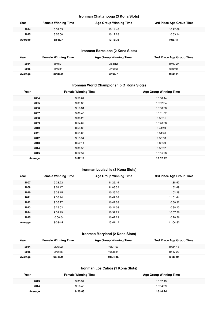#### **Ironman Chattanooga (3 Kona Slots)**

| Year    | <b>Female Winning Time</b> | <b>Age Group Winning Time</b> | 3rd Place Age Group Time |
|---------|----------------------------|-------------------------------|--------------------------|
| 2014    | 8:54:55                    | 10:14:48                      | 10:22:09                 |
| 2015    | 8:56:00                    | 10:12:28                      | 10:53:14                 |
| Average | 8:55:27                    | 10:13:38                      | 10:37:41                 |

#### **Ironman Barcelona (2 Kona Slots)**

| Year    | <b>Female Winning Time</b> | <b>Age Group Winning Time</b> | 2nd Place Age Group Time |
|---------|----------------------------|-------------------------------|--------------------------|
| 2014    | 8:49:21                    | 9:58:12                       | 10:09:27                 |
| 2015    | 8:46:44                    | 9:40:43                       | 9:49:01                  |
| Average | 8:48:02                    | 9:49:27                       | 9:59:14                  |

#### **Ironman World Championship (1 Kona Slots)**

| Year    | <b>Female Winning Time</b> | <b>Age Group Winning Time</b> |
|---------|----------------------------|-------------------------------|
| 2004    | 9:50:04                    | 10:58:44                      |
| 2005    | 9:09:30                    | 10:02:34                      |
| 2006    | 9:18:31                    | 10:00:58                      |
| 2007    | 9:08:45                    | 10:11:57                      |
| 2008    | 9:06:23                    | 9:53:51                       |
| 2009    | 8:54:02                    | 10:26:36                      |
| 2010    | 8:58:36                    | 9:44:19                       |
| 2011    | 8:55:08                    | 9:51:26                       |
| 2012    | 9:15:54                    | 9:50:03                       |
| 2013    | 8:52:14                    | 9:33:29                       |
| 2014    | 9:00:55                    | 9:53:02                       |
| 2015    | 8:57:57                    | 10:05:28                      |
| Average | 9:07:19                    | 10:02:42                      |

#### **Ironman Louisville (3 Kona Slots)**

| Year    | <b>Female Winning Time</b> | <b>Age Group Winning Time</b> | 3rd Place Age Group Time |
|---------|----------------------------|-------------------------------|--------------------------|
| 2007    | 9:23:22                    | 11:25:15                      | 11:38:52                 |
| 2008    | 9:54:17                    | 11:08:32                      | 11:52:49                 |
| 2010    | 9:33:15                    | 10:25:20                      | 11:02:28                 |
| 2011    | 9:38:14                    | 10:42:02                      | 11:01:44                 |
| 2012    | 9:36:27                    | 10:47:53                      | 10:58:32                 |
| 2013    | 9:29:02                    | 10:21:03                      | 10:38:13                 |
| 2014    | 9:31:19                    | 10:37:21                      | 10:57:26                 |
| 2015    | 10:00:04                   | 10:02:29                      | 10:28:56                 |
| Average | 9:38:15                    | 10:41:14                      | 11:04:52                 |

#### **Ironman Maryland (2 Kona Slots)**

| Year    | <b>Female Winning Time</b> | Age Group Winning Time | 2nd Place Age Group Time |
|---------|----------------------------|------------------------|--------------------------|
| 2014    | 9:26:02                    | 10:21:00               | 10:24:48                 |
| 2015    | 9:42:56                    | 10:28:31               | 10:47:20                 |
| Average | 9:34:29                    | 10:24:45               | 10:36:04                 |

#### **Ironman Los Cabos (1 Kona Slots)**

| Year    | <b>Female Winning Time</b> | <b>Age Group Winning Time</b> |
|---------|----------------------------|-------------------------------|
| 2013    | 9:35:34                    | 10:37:49                      |
| 2014    | 9:16:43                    | 10:54:59                      |
| Average | 9:26:08                    | 10:46:24                      |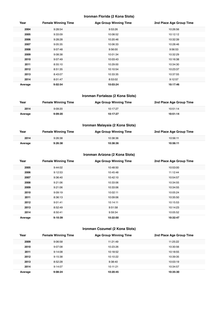#### **Ironman Florida (2 Kona Slots)**

| Year    | <b>Female Winning Time</b> | <b>Age Group Winning Time</b> | 2nd Place Age Group Time |
|---------|----------------------------|-------------------------------|--------------------------|
| 2004    | 9:28:54                    | 9:53:26                       | 10:26:56                 |
| 2005    | 9:33:09                    | 10:08:52                      | 10:12:12                 |
| 2006    | 9:28:28                    | 10:20:46                      | 10:32:39                 |
| 2007    | 9:05:35                    | 10:06:33                      | 10:28:46                 |
| 2008    | 9:07:48                    | 9:56:00                       | 9:56:53                  |
| 2009    | 9:08:38                    | 10:01:34                      | 10:32:29                 |
| 2010    | 9:07:49                    | 10:03:43                      | 10:16:38                 |
| 2011    | 8:55:10                    | 10:29:00                      | 10:34:30                 |
| 2012    | 8:51:35                    | 10:10:54                      | 10:23:37                 |
| 2013    | 8:43:07                    | 10:33:35                      | 10:37:55                 |
| 2014    | 8:01:47                    | 8:53:02                       | 9:12:57                  |
| Average | 9:02:54                    | 10:03:24                      | 10:17:46                 |

#### **Ironman Fortaleza (2 Kona Slots)**

| Year    | <b>Female Winning Time</b> | <b>Age Group Winning Time</b> | 2nd Place Age Group Time |
|---------|----------------------------|-------------------------------|--------------------------|
| 2014    | 9:09:20                    | 10:17:27                      | 10:51:14                 |
| Average | 9:09:20                    | 10:17:27                      | 10:51:14                 |

#### **Ironman Malaysia (2 Kona Slots)**

| Year    | <b>Female Winning Time</b> | <b>Age Group Winning Time</b> | 2nd Place Age Group Time |
|---------|----------------------------|-------------------------------|--------------------------|
| 2014    | 9:26:38                    | 10:38:36                      | 10:56:11                 |
| Average | 9:26:38                    | 10:38:36                      | 10:56:11                 |

#### **Ironman Arizona (2 Kona Slots)**

| Year    | <b>Female Winning Time</b> | <b>Age Group Winning Time</b> | 2nd Place Age Group Time |
|---------|----------------------------|-------------------------------|--------------------------|
| 2005    | 9:44:02                    | 10:48:50                      | 10:53:00                 |
| 2006    | 9:12:53                    | 10:45:48                      | 11:12:44                 |
| 2007    | 9:36:40                    | 10:42:10                      | 10:54:57                 |
| 2008    | 9:21:06                    | 10:33:06                      | 10:34:55                 |
| 2009    | 9:21:06                    | 10:33:06                      | 10:34:55                 |
| 2010    | 9:09:19                    | 10:02:11                      | 10:05:24                 |
| 2011    | 8:36:13                    | 10:09:06                      | 10:35:50                 |
| 2012    | 9:01:41                    | 10:14:11                      | 10:15:53                 |
| 2013    | 8:52:49                    | 9:51:58                       | 10:14:23                 |
| 2014    | 8:50:41                    | 9:59:34                       | 10:05:52                 |
| Average | 9:10:39                    | 10:22:00                      | 10:32:47                 |

#### **Ironman Cozumel (2 Kona Slots)**

| Year    | <b>Female Winning Time</b> | <b>Age Group Winning Time</b> | 2nd Place Age Group Time |
|---------|----------------------------|-------------------------------|--------------------------|
| 2009    | 9:06:58                    | 11:21:49                      | 11:25:22                 |
| 2010    | 9:07:08                    | 10:23:26                      | 10:30:56                 |
| 2011    | 9:14:08                    | 10:18:52                      | 10:18:55                 |
| 2012    | 9:15:38                    | 10:10:22                      | 10:39:35                 |
| 2013    | 8:52:28                    | 9:38:40                       | 10:03:19                 |
| 2014    | 9:14:07                    | 10:11:21                      | 10:34:57                 |
| Average | 9:08:24                    | 10:20:45                      | 10:35:30                 |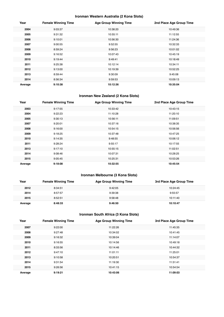#### **Ironman Western Australia (2 Kona Slots)**

| Year    | <b>Female Winning Time</b> | <b>Age Group Winning Time</b> | 2nd Place Age Group Time |
|---------|----------------------------|-------------------------------|--------------------------|
| 2004    | 9:03:37                    | 10:38:20                      | 10:49:36                 |
| 2005    | 9:31:32                    | 10:55:11                      | 11:12:55                 |
| 2006    | 9:10:01                    | 10:56:30                      | 11:24:36                 |
| 2007    | 9:00:55                    | 9:52:55                       | 10:32:33                 |
| 2008    | 8:59:24                    | 9:56:23                       | 10:01:02                 |
| 2009    | 9:16:52                    | 10:07:43                      | 10:45:19                 |
| 2010    | 9:19:44                    | 9:49:41                       | 10:18:49                 |
| 2011    | 9:25:38                    | 10:12:14                      | 10:34:11                 |
| 2012    | 9:13:00                    | 10:19:39                      | 10:52:25                 |
| 2013    | 8:59:44                    | 9:30:09                       | 9:45:08                  |
| 2014    | 8:56:34                    | 9:59:53                       | 10:09:13                 |
| Average | 9:10:38                    | 10:12:36                      | 10:35:04                 |

#### **Ironman New Zealand (2 Kona Slots)**

| Year    | <b>Female Winning Time</b> | <b>Age Group Winning Time</b> | 2nd Place Age Group Time |
|---------|----------------------------|-------------------------------|--------------------------|
| 2003    | 9:17:55                    | 10:33:42                      | 10:43:15                 |
| 2004    | 9:22:23                    | 11:10:28                      | 11:20:10                 |
| 2005    | 9:30:13                    | 10:56:11                      | 11:09:51                 |
| 2007    | 9:20:01                    | 10:37:16                      | 10:38:35                 |
| 2008    | 9:16:00                    | 10:54:15                      | 10:56:56                 |
| 2009    | 9:18:25                    | 10:37:48                      | 10:47:25                 |
| 2010    | 9:14:35                    | 9:48:55                       | 10:06:12                 |
| 2011    | 9:28:24                    | 9:55:17                       | 10:17:55                 |
| 2013    | 9:17:10                    | 10:55:15                      | 11:02:51                 |
| 2014    | 9:08:46                    | 10:07:31                      | 10:28:25                 |
| 2015    | 9:05:45                    | 10:25:31                      | 10:53:26                 |
| Average | 9:18:08                    | 10:32:55                      | 10:45:54                 |

#### **Ironman Melbourne (3 Kona Slots)**

| Year    | <b>Female Winning Time</b> | <b>Age Group Winning Time</b> | 3rd Place Age Group Time |
|---------|----------------------------|-------------------------------|--------------------------|
| 2012    | 8:34:51                    | 9:42:05                       | 10:24:45                 |
| 2014    | 8:57:57                    | 9:39:38                       | 9:55:57                  |
| 2015    | 8:52:51                    | 9:58:48                       | 10:11:40                 |
| Average | 8:48:33                    | 9:46:50                       | 10:10:47                 |

#### **Ironman South Africa (3 Kona Slots)**

| Year    | <b>Female Winning Time</b> | <b>Age Group Winning Time</b> | 3rd Place Age Group Time |
|---------|----------------------------|-------------------------------|--------------------------|
| 2007    | 9:22:00                    | 11:22:26                      | 11:45:35                 |
| 2008    | 9:27:48                    | 10:34:02                      | 10:41:45                 |
| 2009    | 9:16:32                    | 10:39:04                      | 11:14:07                 |
| 2010    | 9:16:55                    | 10:14:56                      | 10:49:18                 |
| 2011    | 8:33:56                    | 10:14:46                      | 10:44:32                 |
| 2012    | 9:47:10                    | 11:01:11                      | 11:25:01                 |
| 2013    | 9:10:58                    | 10:20:51                      | 10:54:37                 |
| 2014    | 9:31:54                    | 11:19:30                      | 11:51:41                 |
| 2015    | 9:26:56                    | 10:41:15                      | 10:54:54                 |
| Average | 9:19:21                    | 10:43:06                      | 11:09:03                 |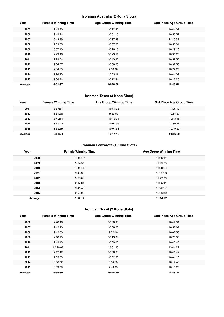#### **Ironman Australia (2 Kona Slots)**

| Year    | <b>Female Winning Time</b> | <b>Age Group Winning Time</b> | 2nd Place Age Group Time |
|---------|----------------------------|-------------------------------|--------------------------|
| 2005    | 9:13:20                    | 10:22:45                      | 10:44:32                 |
| 2006    | 9:19:44                    | 10:51:15                      | 10:58:52                 |
| 2007    | 9:12:59                    | 10:37:23                      | 11:19:34                 |
| 2008    | 9:03:55                    | 10:37:28                      | 10:55:34                 |
| 2009    | 8:57:10                    | 10:26:10                      | 10:29:16                 |
| 2010    | 9:23:46                    | 10:23:51                      | 10:30:20                 |
| 2011    | 9:29:54                    | 10:43:36                      | 10:59:50                 |
| 2012    | 9:34:57                    | 10:08:20                      | 10:32:58                 |
| 2013    | 9:34:55                    | 9:50:46                       | 10:29:25                 |
| 2014    | 9:28:43                    | 10:33:11                      | 10:44:32                 |
| 2015    | 9:38:24                    | 10:12:44                      | 10:17:28                 |
| Average | 9:21:37                    | 10:26:08                      | 10:43:51                 |

#### **Ironman Texas (3 Kona Slots)**

| Year    | <b>Female Winning Time</b> | <b>Age Group Winning Time</b> | 3rd Place Age Group Time |
|---------|----------------------------|-------------------------------|--------------------------|
| 2011    | 8:57:51                    | 10:51:35                      | 11:25:13                 |
| 2012    | 8:54:58                    | 9:53:59                       | 10:14:57                 |
| 2013    | 8:49:14                    | 10:18:34                      | 10:43:45                 |
| 2014    | 8:54:42                    | 10:02:36                      | 10:36:14                 |
| 2015    | 8:55:19                    | 10:04:53                      | 10:49:53                 |
| Average | 8:54:24                    | 10:14:19                      | 10:46:00                 |

#### **Ironman Lanzarote (1 Kona Slots)**

| Year    | <b>Female Winning Time</b> | <b>Age Group Winning Time</b> |
|---------|----------------------------|-------------------------------|
| 2008    | 10:02:27                   | 11:56:14                      |
| 2009    | 9:54:57                    | 11:25:23                      |
| 2010    | 10:03:52                   | 11:28:23                      |
| 2011    | 9:43:39                    | 10:52:28                      |
| 2012    | 9:58:06                    | 11:47:06                      |
| 2013    | 9:37:34                    | 11:05:41                      |
| 2014    | 9:41:40                    | 10:20:37                      |
| 2015    | 9:56:03                    | 10:59:49                      |
| Average | 9:52:17                    | 11:14:27                      |

## **Ironman Brazil (2 Kona Slots)**

| Year    | <b>Female Winning Time</b> | <b>Age Group Winning Time</b> | 2nd Place Age Group Time |
|---------|----------------------------|-------------------------------|--------------------------|
| 2006    | 9:20:46                    | 10:09:36                      | 10:42:34                 |
| 2007    | 9:12:40                    | 10:38:28                      | 10:57:07                 |
| 2008    | 9:42:50                    | 9:52:40                       | 10:07:50                 |
| 2009    | 9:10:15                    | 10:13:04                      | 10:25:35                 |
| 2010    | 9:19:13                    | 10:30:03                      | 10:43:40                 |
| 2011    | 12:40:07                   | 13:01:38                      | 13:44:22                 |
| 2012    | 9:17:42                    | 10:38:28                      | 10:46:42                 |
| 2013    | 9:05:53                    | 10:02:53                      | 10:04:16                 |
| 2014    | 8:56:32                    | 9:54:23                       | 10:17:43                 |
| 2015    | 8:59:08                    | 9:48:45                       | 10:15:28                 |
| Average | 9:34:30                    | 10:28:59                      | 10:48:31                 |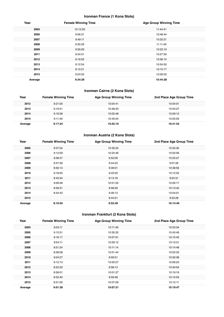#### **Ironman France (1 Kona Slots)**

| Year    | <b>Female Winning Time</b> | <b>Age Group Winning Time</b> |
|---------|----------------------------|-------------------------------|
| 2005    | 10:12:29                   | 11:44:41                      |
| 2006    | 9:56:31                    | 10:48:44                      |
| 2007    | 9:49:11                    | 10:32:21                      |
| 2008    | 9:35:29                    | 11:11:40                      |
| 2009    | 9:30:29                    | 10:23:10                      |
| 2011    | 9:34:31                    | 10:27:50                      |
| 2012    | 9:16:05                    | 10:36:15                      |
| 2013    | 9:12:54                    | 10:54:55                      |
| 2014    | 9:12:21                    | 10:15:17                      |
| 2015    | 9:24:50                    | 10:29:52                      |
| Average | 9:34:29                    | 10:44:28                      |

## **Ironman Cairns (2 Kona Slots)**

| Year    | <b>Female Winning Time</b> | <b>Age Group Winning Time</b> | 2nd Place Age Group Time |
|---------|----------------------------|-------------------------------|--------------------------|
| 2012    | 9:21:00                    | 10:04:41                      | 10:54:01                 |
| 2013    | 9:19:51                    | 10:48:33                      | 10:53:27                 |
| 2014    | 9:16:58                    | 10:02:48                      | 10:09:12                 |
| 2015    | 9:11:49                    | 10:45:04                      | 10:50:59                 |
| Average | 9:17:24                    | 10:25:16                      | 10:41:54                 |

## **Ironman Austria (2 Kona Slots)**

| Year    | <b>Female Winning Time</b> | <b>Age Group Winning Time</b> | 2nd Place Age Group Time |
|---------|----------------------------|-------------------------------|--------------------------|
| 2005    | 9:07:04                    | 10:35:23                      | 10:35:30                 |
| 2006    | 9:12:09                    | 10:24:46                      | 10:50:56                 |
| 2007    | 9:08:47                    | 9:52:09                       | 10:25:27                 |
| 2008    | 8:47:26                    | 9:44:23                       | 9:57:26                  |
| 2009    | 8:50:13                    | 9:39:01                       | 10:38:56                 |
| 2010    | 9:18:50                    | 9:43:03                       | 10:12:52                 |
| 2011    | 8:43:34                    | 9:14:16                       | 9:24:31                  |
| 2012    | 9:09:58                    | 10:01:02                      | 10:26:17                 |
| 2013    | 8:59:31                    | 9:56:29                       | 10:13:42                 |
| 2014    | 8:42:42                    | 9:46:13                       | 10:04:01                 |
| 2015    |                            | 9:44:21                       | 9:53:28                  |
| Average | 8:10:55                    | 9:52:49                       | 10:14:49                 |

## **Ironman Frankfurt (2 Kona Slots)**

| Year    | <b>Female Winning Time</b> | <b>Age Group Winning Time</b> | 2nd Place Age Group Time |
|---------|----------------------------|-------------------------------|--------------------------|
| 2003    | 9:03:11                    | 10:11:40                      | 10:23:34                 |
| 2005    | 9:15:31                    | 10:35:32                      | 10:43:49                 |
| 2006    | 9:16:17                    | 10:07:01                      | 10:15:40                 |
| 2007    | 9:04:11                    | 10:09:12                      | 10:13:31                 |
| 2008    | 8:51:24                    | 10:11:14                      | 10:14:48                 |
| 2009    | 8:58:08                    | 10:01:44                      | 10:02:33                 |
| 2010    | 9:04:27                    | 9:59:51                       | 10:30:38                 |
| 2011    | 9:12:13                    | 10:05:27                      | 10:06:23                 |
| 2012    | 8:52:33                    | 9:58:13                       | 10:40:04                 |
| 2013    | 8:56:01                    | 10:01:27                      | 10:19:16                 |
| 2014    | 8:52:40                    | 9:59:48                       | 10:15:03                 |
| 2015    | 8:51:00                    | 10:07:09                      | 10:12:11                 |
| Average | 9:01:28                    | 10:07:21                      | 10:19:47                 |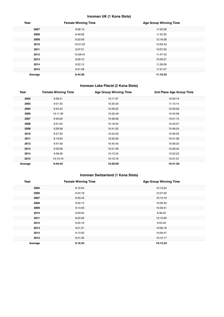#### **Ironman UK (1 Kona Slots)**

| Year    | <b>Female Winning Time</b> | <b>Age Group Winning Time</b> |
|---------|----------------------------|-------------------------------|
| 2007    | 9:36:13                    | 11:02:58                      |
| 2008    | 9:49:06                    | 11:42:30                      |
| 2009    | 9:33:59                    | 12:18:36                      |
| 2010    | 10:01:02                   | 10:59:43                      |
| 2011    | 9:37:31                    | 10:07:55                      |
| 2012    | 10:08:44                   | 11:47:43                      |
| 2013    | 9:29:12                    | 10:59:31                      |
| 2014    | 9:52:12                    | 11:28:09                      |
| 2015    | 9:31:58                    | 11:01:57                      |
| Average | 9:44:26                    | 11:16:33                      |

#### **Ironman Lake Placid (2 Kona Slots)**

| Year    | <b>Female Winning Time</b> | <b>Age Group Winning Time</b> | 2nd Place Age Group Time |
|---------|----------------------------|-------------------------------|--------------------------|
| 2002    | 9:29:41                    | 10:11:37                      | 10:40:10                 |
| 2003    | 9:51:55                    | 10:35:29                      | 11:10:14                 |
| 2004    | 9:24:42                    | 10:29:22                      | 10:33:03                 |
| 2006    | 10:11:35                   | 10:32:49                      | 10:45:56                 |
| 2007    | 9:40:20                    | 10:48:56                      | 10:51:15                 |
| 2008    | 9:51:00                    | 10:18:34                      | 10:33:57                 |
| 2009    | 9:29:36                    | 10:41:52                      | 10:46:24                 |
| 2010    | 9:27:30                    | 10:34:33                      | 10:36:20                 |
| 2011    | 9:19:03                    | 10:32:20                      | 10:41:26                 |
| 2012    | 9:47:39                    | 10:45:45                      | 10:56:33                 |
| 2013    | 9:35:06                    | 10:21:59                      | 10:36:42                 |
| 2014    | 9:28:28                    | 10:12:24                      | 10:22:23                 |
| 2015    | 10:13:19                   | 10:13:19                      | 10:31:31                 |
| Average | 9:40:45                    | 10:29:09                      | 10:41:59                 |

#### **Ironman Switzerland (1 Kona Slots)**

| Year    | <b>Female Winning Time</b> | <b>Age Group Winning Time</b> |
|---------|----------------------------|-------------------------------|
| 2005    | 9:10:54                    | 10:13:24                      |
| 2006    | 9:24:18                    | 10:27:02                      |
| 2007    | 9:20:43                    | 10:13:19                      |
| 2008    | 9:30:12                    | 10:36:33                      |
| 2009    | 9:14:35                    | 10:30:41                      |
| 2010    | 9:00:04                    | 9:36:25                       |
| 2011    | 9:03:26                    | 10:15:00                      |
| 2012    | 9:20:16                    | 9:55:40                       |
| 2013    | 9:21:31                    | 10:06:16                      |
| 2014    | 9:13:30                    | 10:09:47                      |
| 2015    | 9:21:05                    | 10:12:17                      |
| Average | 9:16:24                    | 10:12:24                      |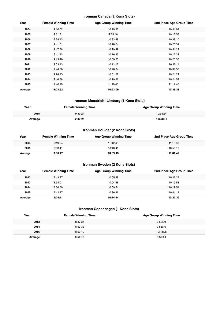#### **Ironman Canada (2 Kona Slots)**

| Year    | <b>Female Winning Time</b> | <b>Age Group Winning Time</b> | 2nd Place Age Group Time |
|---------|----------------------------|-------------------------------|--------------------------|
| 2004    | 9:16:02                    | 10:29:36                      | 10:54:04                 |
| 2005    | 9:51:31                    | 9:59:48                       | 10:16:58                 |
| 2006    | 9:25:13                    | 10:33:48                      | 10:38:10                 |
| 2007    | 9:41:01                    | 10:18:04                      | 10:26:39                 |
| 2008    | 9:17:58                    | 10:29:49                      | 10:51:29                 |
| 2009    | 9:11:20                    | 10:16:33                      | 10:17:31                 |
| 2010    | 9:13:46                    | 10:09:25                      | 10:25:38                 |
| 2011    | 9:03:13                    | 10:12:17                      | 10:36:11                 |
| 2012    | 9:44:58                    | 10:28:24                      | 10:31:53                 |
| 2013    | 9:28:13                    | 10:01:57                      | 10:24:21                 |
| 2014    | 9:46:58                    | 10:19:26                      | 10:24:57                 |
| 2015    | 9:46:19                    | 11:18:46                      | 11:19:46                 |
| Average | 9:28:52                    | 10:23:09                      | 10:35:38                 |

#### **Ironman Maastricht-Limburg (1 Kona Slots)**

| Year    | <b>Female Winning Time</b> | <b>Age Group Winning Time</b> |
|---------|----------------------------|-------------------------------|
| 2015    | 9:39:24                    | 10:38:54                      |
| ⊶verage | 1.39.24                    | 10:38:54                      |

#### **Ironman Boulder (2 Kona Slots)**

| Year    | <b>Female Winning Time</b> | <b>Age Group Winning Time</b> | 2nd Place Age Group Time |
|---------|----------------------------|-------------------------------|--------------------------|
| 2014    | 9:19:54                    | 11:12:45                      | 11:13:08                 |
| 2015    | 9:53:41                    | 10:46:41                      | 10:50:17                 |
| Average | 9:36:47                    | 10:59:43                      | 11:01:42                 |

#### **Ironman Sweden (2 Kona Slots)**

| Year    | <b>Female Winning Time</b> | <b>Age Group Winning Time</b> | 2nd Place Age Group Time |
|---------|----------------------------|-------------------------------|--------------------------|
| 2012    | 9:13:27                    | 10:05:48                      | 10:26:29                 |
| 2013    | 8:54:01                    | 10:04:28                      | 10:19:58                 |
| 2014    | 8:56:50                    | 10:09:54                      | 10:19:54                 |
| 2015    | 9:12:27                    | 10:36:46                      | 10:44:17                 |
| Average | 9:04:11                    | 10:14:14                      | 10:27:39                 |

#### **Ironman Copenhagen (1 Kona Slots)**

| Year    | <b>Female Winning Time</b> | <b>Age Group Winning Time</b> |
|---------|----------------------------|-------------------------------|
| 2013    | 8:37:36                    | 9:50:09                       |
| 2014    | 8:53:33                    | 9:55:16                       |
| 2015    | 8:59:49                    | 10:13:08                      |
| Average | 8:50:19                    | 9:59:31                       |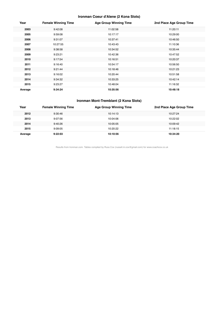#### **Ironman Coeur d'Alene (2 Kona Slots)**

| Year    | <b>Female Winning Time</b> | <b>Age Group Winning Time</b> | 2nd Place Age Group Time |
|---------|----------------------------|-------------------------------|--------------------------|
| 2003    | 9:42:08                    | 11:02:58                      | 11:20:11                 |
| 2005    | 9:59:08                    | 10:17:17                      | 10:29:00                 |
| 2006    | 9:31:07                    | 10:37:41                      | 10:46:50                 |
| 2007    | 10:27:55                   | 10:43:43                      | 11:10:36                 |
| 2008    | 9:38:58                    | 10:34:52                      | 10:35:44                 |
| 2009    | 9:23:21                    | 10:42:36                      | 10:47:52                 |
| 2010    | 9:17:54                    | 10:16:51                      | 10:20:37                 |
| 2011    | 9:16:40                    | 10:54:17                      | 10:56:50                 |
| 2012    | 9:21:44                    | 10:18:46                      | 10:21:23                 |
| 2013    | 9:16:02                    | 10:20:44                      | 10:51:58                 |
| 2014    | 9:34:32                    | 10:33:25                      | 10:42:14                 |
| 2015    | 9:23:27                    | 10:48:04                      | 11:16:32                 |
| Average | 9:34:24                    | 10:35:56                      | 10:48:18                 |

#### **Ironman Mont-Tremblant (2 Kona Slots)**

| Year    | <b>Female Winning Time</b> | Age Group Winning Time | 2nd Place Age Group Time |
|---------|----------------------------|------------------------|--------------------------|
| 2012    | 9:30:46                    | 10:14:13               | 10:27:24                 |
| 2013    | 9:07:56                    | 10:04:06               | 10:22:02                 |
| 2014    | 9:40:26                    | 10:05:05               | 10:09:42                 |
| 2015    | 9:09:05                    | 10:20:22               | 11:18:15                 |
| Average | 9:22:03                    | 10:10:56               | 10:34:20                 |

Results from Ironman.com. Tables compiled by Russ Cox (russell.m.cox@gmail.com) for www.coachcox.co.uk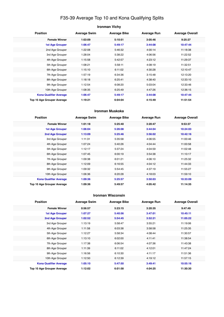## F35-39 Average Top 10 and Kona Qualifying Splits

| <b>Ironman Vichy</b>                                                                                          |         |         |         |          |  |  |
|---------------------------------------------------------------------------------------------------------------|---------|---------|---------|----------|--|--|
| <b>Position</b><br><b>Average Swim</b><br><b>Average Bike</b><br><b>Average Run</b><br><b>Average Overall</b> |         |         |         |          |  |  |
| <b>Female Winner</b>                                                                                          | 1:03:09 | 5:10:51 | 3:05:46 | 9:25:27  |  |  |
| <b>1st Age Grouper</b>                                                                                        | 1:06:47 | 5:49:17 | 3:44:08 | 10:47:44 |  |  |
| 2nd Age Grouper                                                                                               | 1:22:08 | 5:46:32 | 4:00:14 | 11:18:38 |  |  |
| 3rd Age Grouper                                                                                               | 1:28:04 | 5:38:22 | 4:06:56 | 11:22:52 |  |  |
| 4th Age Grouper                                                                                               | 1:15:58 | 5:42:57 | 4:23:12 | 11:29:37 |  |  |
| 5th Age Grouper                                                                                               | 1:08:21 | 5:58:11 | 4:08:19 | 11:32:51 |  |  |
| 6th Age Grouper                                                                                               | 1:15:10 | 6:11:02 | 4:30:28 | 12:10:47 |  |  |
| 7th Age Grouper                                                                                               | 1:57:19 | 6:34:36 | 3:15:48 | 12:13:20 |  |  |
| 8th Age Grouper                                                                                               | 1:18:18 | 6:25:41 | 4:38:40 | 12:33:10 |  |  |
| 9th Age Grouper                                                                                               | 1:12:54 | 6:08:20 | 5:03:04 | 12:33:46 |  |  |
| 10th Age Grouper                                                                                              | 1:08:35 | 6:25:49 | 4:47:26 | 12:36:15 |  |  |
| <b>Kona Qualifier Average</b>                                                                                 | 1:06:47 | 5:49:17 | 3:44:08 | 10:47:44 |  |  |
| Top 10 Age Grouper Average                                                                                    | 1:19:21 | 6:04:04 | 4:15:49 | 11:51:54 |  |  |

#### **Ironman Muskoka**

| <b>Position</b>               | <b>Average Swim</b> | <b>Average Bike</b> | <b>Average Run</b> | <b>Average Overall</b> |
|-------------------------------|---------------------|---------------------|--------------------|------------------------|
| <b>Female Winner</b>          | 1:01:18             | 5:25:40             | 3:20:47            | 9:53:37                |
| <b>1st Age Grouper</b>        | 1:06:04             | 5:26:08             | 3:44:04            | 10:24:03               |
| 2nd Age Grouper               | 1:13:09             | 5:25:46             | 3:56:02            | 10:42:16               |
| 3rd Age Grouper               | 1:11:31             | 5:35:58             | 4:06:55            | 11:00:46               |
| 4th Age Grouper               | 1:07:24             | 5:40:26             | 4:04:44            | 11:00:58               |
| 5th Age Grouper               | 1:12:17             | 5:37:24             | 4:04:59            | 11:02:48               |
| 6th Age Grouper               | 1:07:45             | 6:00:19             | 3:54:38            | 11:10:17               |
| 7th Age Grouper               | 1:09:38             | 6:01:21             | 4:06:10            | 11:25:32               |
| 8th Age Grouper               | 1:12:09             | 6:16:55             | 4:04:12            | 11:44:33               |
| 9th Age Grouper               | 1:09:32             | 5:54:45             | 4:37:19            | 11:55:27               |
| 10th Age Grouper              | 1:06:36             | 6:20:28             | 4:18:03            | 11:59:10               |
| <b>Kona Qualifier Average</b> | 1:09:36             | 5:25:57             | 3:50:03            | 10:33:09               |
| Top 10 Age Grouper Average    | 1:09:36             | 5:49:57             | 4:05:42            | 11:14:35               |

#### **Ironman Wisconsin**

| <b>Position</b>               | <b>Average Swim</b> | <b>Average Bike</b> | <b>Average Run</b> | <b>Average Overall</b> |
|-------------------------------|---------------------|---------------------|--------------------|------------------------|
| <b>Female Winner</b>          | 0:56:57             | 5:23:15             | 3:20:35            | 9:47:49                |
| <b>1st Age Grouper</b>        | 1:07:27             | 5:40:56             | 3:47:01            | 10:45:11               |
| 2nd Age Grouper               | 1:02:52             | 5:54:45             | 3:52:21            | 11:05:22               |
| 3rd Age Grouper               | 1:13:19             | 5:58:47             | 3:55:21            | 11:19:06               |
| 4th Age Grouper               | 1:11:58             | 6:03:38             | 3:58:58            | 11:25:35               |
| 5th Age Grouper               | 1:12:27             | 5:58:34             | 4:08:44            | 11:30:57               |
| 6th Age Grouper               | 1:13:10             | 6:02:00             | 4:11:41            | 11:38:54               |
| 7th Age Grouper               | 1:17:38             | 6:06:54             | 4:07:36            | 11:43:38               |
| 8th Age Grouper               | 1:11:39             | 6:11:02             | 4:12:01            | 11:47:24               |
| 9th Age Grouper               | 1:16:56             | 6:10:30             | 4:11:17            | 11:51:36               |
| 10th Age Grouper              | 1:12:50             | 6:12:39             | 4:19:12            | 11:57:15               |
| <b>Kona Qualifier Average</b> | 1:05:10             | 5:47:50             | 3:49:41            | 10:55:16               |
| Top 10 Age Grouper Average    | 1:12:02             | 6:01:58             | 4:04:25            | 11:30:30               |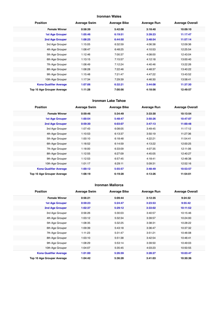#### **Ironman Wales**

| <b>Position</b>               | <b>Average Swim</b> | <b>Average Bike</b> | <b>Average Run</b> | <b>Average Overall</b> |
|-------------------------------|---------------------|---------------------|--------------------|------------------------|
| <b>Female Winner</b>          | 0:58:39             | 5:42:08             | 3:18:40            | 10:09:10               |
| <b>1st Age Grouper</b>        | 1:05:46             | 6:19:51             | 3:39:23            | 11:17:47               |
| 2nd Age Grouper               | 1:08:25             | 6:44:50             | 3:48:54            | 11:57:14               |
| 3rd Age Grouper               | 1:15:05             | 6:32:59             | 4:06:38            | 12:09:36               |
| 4th Age Grouper               | 1:08:47             | 6:48:25             | 4:10:53            | 12:25:54               |
| 5th Age Grouper               | 1:12:46             | 7:00:37             | 4:08:00            | 12:43:04               |
| 6th Age Grouper               | 1:13:15             | 7:15:57             | 4:12:18            | 13:00:40               |
| 7th Age Grouper               | 1:08:49             | 7:12:24             | 4:40:46            | 13:22:26               |
| 8th Age Grouper               | 1:08:28             | 7:22:46             | 4:48:37            | 13:40:22               |
| 9th Age Grouper               | 1:15:48             | 7:21:47             | 4:47:22            | 13:43:52               |
| 10th Age Grouper              | 1:17:34             | 7:29:39             | 4:46:30            | 13:58:41               |
| <b>Kona Qualifier Average</b> | 1:07:06             | 6:32:21             | 3:44:08            | 11:37:30               |
| Top 10 Age Grouper Average    | 1:11:28             | 7:00:56             | 4:18:56            | 12:49:57               |

#### **Ironman Lake Tahoe**

| <b>Position</b>               | <b>Average Swim</b> | <b>Average Bike</b> | <b>Average Run</b> | <b>Average Overall</b> |
|-------------------------------|---------------------|---------------------|--------------------|------------------------|
| <b>Female Winner</b>          | 0:59:46             | 5:34:49             | 3:33:30            | 10:13:54               |
| <b>1st Age Grouper</b>        | 1:00:54             | 5:48:47             | 3:50:26            | 10:47:07               |
| 2nd Age Grouper               | 0:59:30             | 6:03:07             | 3:47:13            | 11:00:48               |
| 3rd Age Grouper               | 1:07:43             | 6:08:05             | 3:49:45            | 11:17:12               |
| 4th Age Grouper               | 1:10:53             | 6:13:37             | 3:50:19            | 11:27:36               |
| 5th Age Grouper               | 1:00:10             | 6:18:48             | 4:22:21            | 11:54:41               |
| 6th Age Grouper               | 1:18:52             | 6:14:59             | 4:13:22            | 12:00:25               |
| 7th Age Grouper               | 1:18:00             | 6:33:09             | 4:07:35            | 12:11:06               |
| 8th Age Grouper               | 1:12:55             | 6:27:09             | 4:45:05            | 12:40:27               |
| 9th Age Grouper               | 1:12:53             | 6:57:45             | 4:18:41            | 12:48:38               |
| 10th Age Grouper              | 1:01:17             | 6:29:11             | 5:09:31            | 12:52:16               |
| <b>Kona Qualifier Average</b> | 1:00:12             | 5:55:57             | 3:48:49            | 10:53:57               |
| Top 10 Age Grouper Average    | 1:08:19             | 6:19:28             | 4:13:26            | 11:54:01               |

#### **Ironman Mallorca**

| <b>Position</b>               | <b>Average Swim</b> | <b>Average Bike</b> | <b>Average Run</b> | <b>Average Overall</b> |
|-------------------------------|---------------------|---------------------|--------------------|------------------------|
| <b>Female Winner</b>          | 0:56:21             | 5:09:44             | 3:12:35            | 9:24:32                |
| <b>1st Age Grouper</b>        | 0:59:23             | 5:24:47             | 3:23:53            | 9:55:42                |
| <b>2nd Age Grouper</b>        | 1:02:37             | 5:29:12             | 3:33:02            | 10:11:52               |
| 3rd Age Grouper               | 0:56:26             | 5:30:03             | 3:40:57            | 10:15:46               |
| 4th Age Grouper               | 1:03:12             | 5:32:34             | 3:39:57            | 10:24:00               |
| 5th Age Grouper               | 1:08:35             | 5:32:25             | 3:38:31            | 10:28:22               |
| 6th Age Grouper               | 1:09:39             | 5:43:18             | 3:36:47            | 10:37:32               |
| 7th Age Grouper               | 1:11:23             | 5:31:47             | 3:51:21            | 10:46:08               |
| 8th Age Grouper               | 1:03:10             | 5:51:38             | 3:42:54            | 10:46:41               |
| 9th Age Grouper               | 1:08:29             | 5:53:14             | 3:39:50            | 10:49:03               |
| 10th Age Grouper              | 1:04:07             | 5:35:45             | 4:03:23            | 10:50:55               |
| <b>Kona Qualifier Average</b> | 1:01:00             | 5:26:59             | 3:28:27            | 10:03:47               |
| Top 10 Age Grouper Average    | 1:04:42             | 5:36:28             | 3:41:03            | 10:30:36               |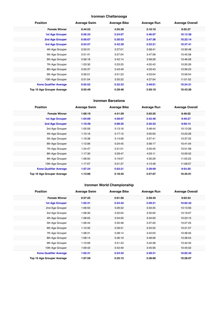#### **Ironman Chattanooga**

| <b>Position</b>               | <b>Average Swim</b> | <b>Average Bike</b> | <b>Average Run</b> | <b>Average Overall</b> |
|-------------------------------|---------------------|---------------------|--------------------|------------------------|
| <b>Female Winner</b>          | 0:44:53             | 4:55:39             | 3:10:10            | 8:55:27                |
| <b>1st Age Grouper</b>        | 0:56:33             | 5:24:07             | 3:46:07            | 10:13:38               |
| 2nd Age Grouper               | 0:56:07             | 5:30:53             | 3:47:36            | 10:22:14               |
| <b>3rd Age Grouper</b>        | 0:54:57             | 5:42:39             | 3:53:21            | 10:37:41               |
| 4th Age Grouper               | 0:55:31             | 5:37:01             | 3:58:41            | 10:39:48               |
| 5th Age Grouper               | 0:51:41             | 5:57:04             | 3:47:58            | 10:45:58               |
| 6th Age Grouper               | 0:56:18             | 5:42:14             | 3:58:28            | 10:46:28               |
| 7th Age Grouper               | 1:03:30             | 5:33:25             | 4:05:42            | 10:50:26               |
| 8th Age Grouper               | 0:55:37             | 5:43:49             | 4:03:43            | 10:56:23               |
| 9th Age Grouper               | 0:56:51             | 5:51:23             | 4:03:04            | 10:59:54               |
| 10th Age Grouper              | 0:51:04             | 5:35:32             | 4:27:04            | 11:01:52               |
| <b>Kona Qualifier Average</b> | 0:55:52             | 5:32:33             | 3:49:01            | 10:24:31               |
| Top 10 Age Grouper Average    | 0:55:49             | 5:39:48             | 3:59:10            | 10:43:26               |

#### **Ironman Barcelona**

| <b>Position</b>               | <b>Average Swim</b> | <b>Average Bike</b> | <b>Average Run</b> | <b>Average Overall</b> |
|-------------------------------|---------------------|---------------------|--------------------|------------------------|
| <b>Female Winner</b>          | 1:00:19             | 4:41:29             | 3:03:25            | 8:48:02                |
| <b>1st Age Grouper</b>        | 1:04:09             | 4:58:07             | 3:42:46            | 9:49:27                |
| 2nd Age Grouper               | 1:10:39             | 5:08:35             | 3:35:33            | 9:59:14                |
| 3rd Age Grouper               | 1:05:59             | 5:13:16             | 3:48:44            | 10:13:26               |
| 4th Age Grouper               | 1:10:16             | 5:17:15             | 3:50:00            | 10:23:26               |
| 5th Age Grouper               | 1:19:38             | 5:14:06             | 3:57:41            | 10:37:25               |
| 6th Age Grouper               | 1:12:06             | 5:24:45             | 3:58:17            | 10:41:04               |
| 7th Age Grouper               | 1:24:47             | 5:31:01             | 3:50:45            | 10:51:58               |
| 8th Age Grouper               | 1:17:30             | 5:29:47             | 4:03:11            | 10:59:52               |
| 9th Age Grouper               | 1:08:50             | 5:19:07             | 4:30:29            | 11:05:23               |
| 10th Age Grouper              | 1:17:07             | 5:31:37             | 4:13:48            | 11:08:57               |
| <b>Kona Qualifier Average</b> | 1:07:24             | 5:03:21             | 3:39:09            | 9:54:20                |
| Top 10 Age Grouper Average    | 1:13:06             | 5:18:45             | 3:57:07            | 10:35:01               |

## **Ironman World Championship**

| <b>Position</b>               | <b>Average Swim</b> | <b>Average Bike</b> | <b>Average Run</b> | <b>Average Overall</b> |
|-------------------------------|---------------------|---------------------|--------------------|------------------------|
| <b>Female Winner</b>          | 0:57:25             | 5:01:56             | 2:59:45            | 9:03:53                |
| <b>1st Age Grouper</b>        | 1:02:31             | 5:24:42             | 3:29:31            | 10:02:42               |
| 2nd Age Grouper               | 1:06:55             | 5:26:32             | 3:33:35            | 10:13:56               |
| 3rd Age Grouper               | 1:08:30             | 5:32:04             | 3:32:00            | 10:19:07               |
| 4th Age Grouper               | 1:08:05             | 5:34:50             | 3:34:00            | 10:23:15               |
| 5th Age Grouper               | 1:06:44             | 5:35:48             | 3:37:20            | 10:27:25               |
| 6th Age Grouper               | 1:10:32             | 5:39:31             | 3:34:52            | 10:31:57               |
| 7th Age Grouper               | 1:08:31             | 5:38:14             | 3:42:03            | 10:36:05               |
| 8th Age Grouper               | 1:08:14             | 5:36:19             | 3:48:06            | 10:38:54               |
| 9th Age Grouper               | 1:10:06             | 5:41:43             | 3:42:38            | 10:42:45               |
| 10th Age Grouper              | 1:09:42             | 5:42:49             | 3:45:56            | 10:45:02               |
| <b>Kona Qualifier Average</b> | 1:02:31             | 5:24:42             | 3:29:31            | 10:02:42               |
| Top 10 Age Grouper Average    | 1:07:59             | 5:35:15             | 3:38:00            | 10:28:07               |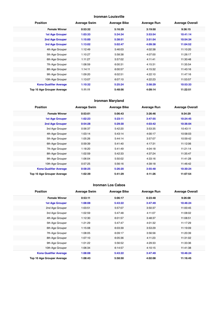#### **Ironman Louisville**

| <b>Position</b>               | <b>Average Swim</b> | <b>Average Bike</b> | <b>Average Run</b> | <b>Average Overall</b> |
|-------------------------------|---------------------|---------------------|--------------------|------------------------|
| <b>Female Winner</b>          | 0:53:32             | 5:16:29             | 3:19:50            | 9:36:15                |
| <b>1st Age Grouper</b>        | 1:03:33             | 5:34:34             | 3:53:54            | 10:41:14               |
| 2nd Age Grouper               | 1:15:00             | 5:38:51             | 3:51:54            | 10:54:34               |
| 3rd Age Grouper               | 1:13:02             | 5:02:47             | 4:09:38            | 11:04:52               |
| 4th Age Grouper               | 1:12:49             | 5:46:03             | 4:02:38            | 11:10:20               |
| 5th Age Grouper               | 1:10:27             | 5:58:38             | 4:07:00            | 11:26:17               |
| 6th Age Grouper               | 1:11:27             | 5:57:02             | 4:11:41            | 11:30:48               |
| 7th Age Grouper               | 1:08:59             | 6:00:31             | 4:15:31            | 11:35:54               |
| 8th Age Grouper               | 1:14:11             | 6:00:57             | 4:15:32            | 11:43:16               |
| 9th Age Grouper               | 1:09:20             | 6:02:51             | 4:22:10            | 11:47:16               |
| 10th Age Grouper              | 1:13:07             | 6:07:10             | 4:22:23            | 11:53:57               |
| <b>Kona Qualifier Average</b> | 1:10:32             | 5:25:24             | 3:58:29            | 10:53:33               |
| Top 10 Age Grouper Average    | 1:11:11             | 5:48:56             | 4:09:14            | 11:22:51               |

#### **Ironman Maryland**

| <b>Position</b>               | <b>Average Swim</b> | <b>Average Bike</b> | <b>Average Run</b> | <b>Average Overall</b> |
|-------------------------------|---------------------|---------------------|--------------------|------------------------|
| <b>Female Winner</b>          | 0:53:01             | 5:06:43             | 3:26:46            | 9:34:29                |
| <b>1st Age Grouper</b>        | 1:02:23             | 5:23:11             | 3:47:55            | 10:24:45               |
| 2nd Age Grouper               | 0:54:28             | 5:29:30             | 4:03:42            | 10:36:04               |
| 3rd Age Grouper               | 0:56:37             | 5:42:20             | 3:53:35            | 10:43:11               |
| 4th Age Grouper               | 1:03:14             | 5:43:14             | 4:00:17            | 10:58:03               |
| 5th Age Grouper               | 1:05:26             | 5:44:14             | 3:57:07            | 10:59:42               |
| 6th Age Grouper               | 0:59:39             | 5:41:40             | 4:17:31            | 11:12:06               |
| 7th Age Grouper               | 1:18:20             | 5:41:49             | 4:04:18            | 11:21:14               |
| 8th Age Grouper               | 1:02:59             | 5:42:33             | 4:37:24            | 11:35:47               |
| 9th Age Grouper               | 1:06:04             | 5:50:02             | 4:33:16            | 11:41:28               |
| 10th Age Grouper              | 0:57:25             | 5:56:16             | 4:39:18            | 11:46:42               |
| <b>Kona Qualifier Average</b> | 0:58:25             | 5:26:20             | 3:55:48            | 10:30:24               |
| Top 10 Age Grouper Average    | 1:02:39             | 5:41:29             | 4:11:26            | 11:07:54               |

#### **Ironman Los Cabos**

| <b>Position</b>               | <b>Average Swim</b> | <b>Average Bike</b> | <b>Average Run</b> | <b>Average Overall</b> |
|-------------------------------|---------------------|---------------------|--------------------|------------------------|
| <b>Female Winner</b>          | 0:53:11             | 5:06:17             | 6:23:48            | 9:26:08                |
| <b>1st Age Grouper</b>        | 1:08:08             | 5:43:22             | 3:47:49            | 10:46:24               |
| 2nd Age Grouper               | 1:03:51             | 5:57:07             | 3:50:37            | 11:00:45               |
| 3rd Age Grouper               | 1:02:59             | 5:47:48             | 4:11:07            | 11:08:02               |
| 4th Age Grouper               | 1:12:30             | 6:01:57             | 3:48:37            | 11:08:51               |
| 5th Age Grouper               | 1:21:29             | 5:47:47             | 4:01:32            | 11:17:29               |
| 6th Age Grouper               | 1:15:08             | 6:03:39             | 3:53:29            | 11:19:09               |
| 7th Age Grouper               | 1:08:05             | 6:09:17             | 3:56:56            | 11:20:39               |
| 8th Age Grouper               | 1:07:10             | 6:05:36             | 4:11:23            | 11:31:02               |
| 9th Age Grouper               | 1:01:22             | 5:56:52             | 4:29:33            | 11:33:36               |
| 10th Age Grouper              | 1:06:34             | 6:14:57             | 4:10:15            | 11:41:38               |
| <b>Kona Qualifier Average</b> | 1:08:08             | 5:43:22             | 3:47:49            | 10:46:24               |
| Top 10 Age Grouper Average    | 1:08:43             | 5:58:50             | 4:02:08            | 11:16:45               |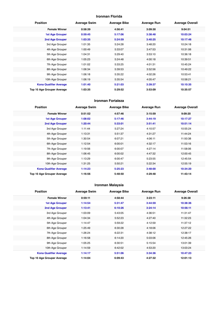#### **Ironman Florida**

| <b>Position</b>               | <b>Average Swim</b> | <b>Average Bike</b> | <b>Average Run</b> | <b>Average Overall</b> |
|-------------------------------|---------------------|---------------------|--------------------|------------------------|
| <b>Female Winner</b>          | 0:58:39             | 4:56:41             | 3:09:30            | 9:04:51                |
| <b>1st Age Grouper</b>        | 0:59:45             | 5:17:06             | 3:38:48            | 10:03:24               |
| <b>2nd Age Grouper</b>        | 1:03:35             | 5:24:59             | 3:40:25            | 10:17:46               |
| 3rd Age Grouper               | 1:01:35             | 5:24:28             | 3:48:20            | 10:24:18               |
| 4th Age Grouper               | 1:00:49             | 5:33:07             | 3:47:53            | 10:31:06               |
| 5th Age Grouper               | 1:04:31             | 5:29:40             | 3:53:10            | 10:36:18               |
| 6th Age Grouper               | 1:05:23             | 5:24:48             | 4:00:18            | 10:39:51               |
| 7th Age Grouper               | 1:01:02             | 5:33:25             | 4:01:31            | 10:45:24               |
| 8th Age Grouper               | 1:06:34             | 5:39:53             | 3:52:56            | 10:49:22               |
| 9th Age Grouper               | 1:06:18             | 5:35:22             | 4:02:26            | 10:53:41               |
| 10th Age Grouper              | 1:06:19             | 5:35:54             | 4:05:47            | 10:58:21               |
| <b>Kona Qualifier Average</b> | 1:01:40             | 5:21:03             | 3:39:37            | 10:10:35               |
| Top 10 Age Grouper Average    | 1:03:35             | 5:29:52             | 3:53:09            | 10:35:57               |

#### **Ironman Fortaleza**

| <b>Position</b>               | <b>Average Swim</b> | <b>Average Bike</b> | <b>Average Run</b> | <b>Average Overall</b> |
|-------------------------------|---------------------|---------------------|--------------------|------------------------|
| <b>Female Winner</b>          | 0:51:52             | 4:57:46             | 3:15:59            | 9:09:20                |
| <b>1st Age Grouper</b>        | 1:08:02             | 5:17:46             | 3:44:19            | 10:17:27               |
| 2nd Age Grouper               | 1:20:44             | 5:33:01             | 3:51:41            | 10:51:14               |
| 3rd Age Grouper               | 1:11:44             | 5:27:24             | 4:10:57            | 10:55:24               |
| 4th Age Grouper               | 1:13:31             | 5:51:37             | 4:31:27            | 11:44:24               |
| 5th Age Grouper               | 1:30:54             | 6:07:21             | 4:06:11            | 11:50:38               |
| 6th Age Grouper               | 1:12:54             | 6:00:01             | 4:32:17            | 11:53:16               |
| 7th Age Grouper               | 1:19:56             | 6:00:07             | 4:27:14            | 11:58:06               |
| 8th Age Grouper               | 1:06:45             | 6:00:02             | 4:47:32            | 12:00:45               |
| 9th Age Grouper               | 1:13:29             | 6:00:47             | 5:23:55            | 12:45:54               |
| 10th Age Grouper              | 1:31:25             | 5:50:21             | 5:22:34            | 12:55:19               |
| <b>Kona Qualifier Average</b> | 1:14:23             | 5:25:23             | 3:48:00            | 10:34:20               |
| Top 10 Age Grouper Average    | 1:16:56             | 5:48:50             | 4:29:48            | 11:43:14               |

#### **Ironman Malaysia**

| <b>Position</b>               | <b>Average Swim</b> | <b>Average Bike</b> | <b>Average Run</b> | <b>Average Overall</b> |
|-------------------------------|---------------------|---------------------|--------------------|------------------------|
| <b>Female Winner</b>          | 0:59:11             | 4:58:44             | 3:23:11            | 9:26:38                |
| 1st Age Grouper               | 1:14:54             | 5:31:47             | 3:44:59            | 10:38:36               |
| 2nd Age Grouper               | 1:13:41             | 6:10:26             | 3:24:14            | 10:56:11               |
| 3rd Age Grouper               | 1:03:09             | 5:43:05             | 4:36:51            | 11:31:47               |
| 4th Age Grouper               | 1:04:34             | 5:52:23             | 4:27:40            | 11:32:23               |
| 5th Age Grouper               | 1:14:47             | 5:59:22             | 4:12:59            | 11:37:12               |
| 6th Age Grouper               | 1:25:49             | 6:30:28             | 4:18:06            | 12:27:22               |
| 7th Age Grouper               | 1:26:24             | 6:22:31             | 4:38:12            | 12:38:17               |
| 8th Age Grouper               | 1:16:58             | 6:14:20             | 5:03:06            | 12:45:26               |
| 9th Age Grouper               | 1:05:25             | 6:30:51             | 5:15:54            | 13:01:39               |
| 10th Age Grouper              | 1:14:59             | 6:42:02             | 4:53:20            | 13:03:24               |
| <b>Kona Qualifier Average</b> | 1:14:17             | 5:51:06             | 3:34:36            | 10:47:23               |
| Top 10 Age Grouper Average    | 1:14:04             | 6:09:43             | 4:27:32            | 12:01:13               |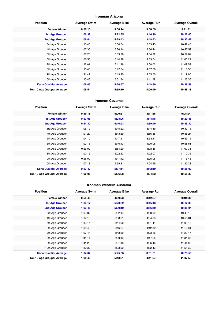#### **Ironman Arizona**

| <b>Position</b>               | <b>Average Swim</b> | <b>Average Bike</b> | <b>Average Run</b> | <b>Average Overall</b> |
|-------------------------------|---------------------|---------------------|--------------------|------------------------|
| <b>Female Winner</b>          | 0:57:13             | 5:00:14             | 3:08:59            | 9:11:01                |
| <b>1st Age Grouper</b>        | 1:06:32             | 5:22:35             | 3:46:19            | 10:22:00               |
| 2nd Age Grouper               | 1:06:04             | 5:29:43             | 3:48:43            | 10:32:47               |
| 3rd Age Grouper               | 1:10:45             | 5:30:54             | 3:53:45            | 10:42:48               |
| 4th Age Grouper               | 1:07:35             | 5:36:14             | 3:56:44            | 10:47:59               |
| 5th Age Grouper               | 1:07:23             | 5:39:26             | 4:04:32            | 10:59:02               |
| 6th Age Grouper               | 1:06:55             | 5:44:28             | 4:03:54            | 11:03:22               |
| 7th Age Grouper               | 1:12:01             | 5:41:49             | 4:08:02            | 11:09:59               |
| 8th Age Grouper               | 1:15:40             | 5:42:54             | 4:07:56            | 11:15:30               |
| 9th Age Grouper               | 1:11:42             | 5:49:40             | 4:05:50            | 11:19:06               |
| 10th Age Grouper              | 1:13:46             | 5:51:34             | 4:11:29            | 11:25:36               |
| <b>Kona Qualifier Average</b> | 1:06:05             | 5:26:57             | 3:48:30            | 10:28:58               |
| Top 10 Age Grouper Average    | 1:09:54             | 5:39:19             | 4:00:49            | 10:58:18               |

#### **Ironman Cozumel**

| <b>Position</b>               | <b>Average Swim</b> | <b>Average Bike</b> | <b>Average Run</b> | <b>Average Overall</b> |
|-------------------------------|---------------------|---------------------|--------------------|------------------------|
| <b>Female Winner</b>          | 0:49:18             | 5:00:51             | 3:11:56            | 9:08:24                |
| <b>1st Age Grouper</b>        | 0:53:05             | 5:28:06             | 3:44:48            | 10:20:45               |
| 2nd Age Grouper               | 0:54:30             | 5:46:23             | 3:39:49            | 10:35:30               |
| 3rd Age Grouper               | 1:05:12             | 5:45:22             | 3:44:49            | 10:43:16               |
| 4th Age Grouper               | 1:01:29             | 5:43:59             | 3:56:35            | 10:48:27               |
| 5th Age Grouper               | 1:04:10             | 4:47:21             | 3:58:11            | 10:53:16               |
| 6th Age Grouper               | 1:03:16             | 5:46:13             | 4:00:08            | 10:58:51               |
| 7th Age Grouper               | 0:56:02             | 5:54:20             | 4:08:46            | 11:07:31               |
| 8th Age Grouper               | 1:00:15             | 6:02:23             | 4:02:07            | 11:12:36               |
| 9th Age Grouper               | 0:56:00             | 4:47:42             | 5:25:08            | 11:15:43               |
| 10th Age Grouper              | 1:07:18             | 5:59:31             | 4:04:59            | 11:20:33               |
| <b>Kona Qualifier Average</b> | 0:53:47             | 5:37:14             | 3:42:19            | 10:28:07               |
| Top 10 Age Grouper Average    | 1:00:08             | 5:36:08             | 4:04:32            | 10:55:39               |

#### **Ironman Western Australia**

| <b>Position</b>               | <b>Average Swim</b> | <b>Average Bike</b> | <b>Average Run</b> | <b>Average Overall</b> |
|-------------------------------|---------------------|---------------------|--------------------|------------------------|
| <b>Female Winner</b>          | 0:55:48             | 4:59:23             | 3:12:57            | 9:10:38                |
| <b>1st Age Grouper</b>        | 1:04:17             | 5:20:02             | 3:45:13            | 10:12:36               |
| 2nd Age Grouper               | 1:03:46             | 5:30:10             | 3:56:49            | 10:35:04               |
| 3rd Age Grouper               | 1:09:37             | 5:32:14             | 4:03:09            | 10:49:12               |
| 4th Age Grouper               | 1:07:19             | 5:38:51             | 4:04:53            | 10:55:01               |
| 5th Age Grouper               | 1:13:14             | 5:44:00             | 4:01:44            | 11:03:48               |
| 6th Age Grouper               | 1:08:40             | 5:46:27             | 4:12:32            | 11:12:31               |
| 7th Age Grouper               | 1:07:44             | 5:43:50             | 4:23:16            | 11:20:47               |
| 8th Age Grouper               | 1:11:44             | 6:00:13             | 4:17:25            | 11:34:36               |
| 9th Age Grouper               | 1:11:20             | 5:51:18             | 4:36:46            | 11:44:08               |
| 10th Age Grouper              | 1:10:32             | 6:03:09             | 4:32:43            | 11:51:32               |
| <b>Kona Qualifier Average</b> | 1:04:02             | 5:25:06             | 3:51:01            | 10:23:50               |
| Top 10 Age Grouper Average    | 1:08:49             | 5:43:01             | 4:11:27            | 11:07:55               |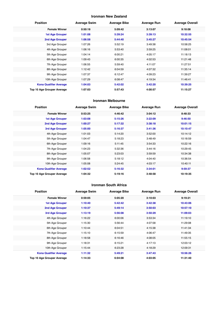#### **Ironman New Zealand**

| <b>Position</b>               | <b>Average Swim</b> | <b>Average Bike</b> | <b>Average Run</b> | <b>Average Overall</b> |
|-------------------------------|---------------------|---------------------|--------------------|------------------------|
| <b>Female Winner</b>          | 0:50:18             | 5:09:42             | 3:13:07            | 9:18:08                |
| <b>1st Age Grouper</b>        | 1:01:08             | 5:39:24             | 3:39:13            | 10:32:55               |
| 2nd Age Grouper               | 1:06:58             | 5:44:40             | 3:45:27            | 10:45:54               |
| 3rd Age Grouper               | 1:07:26             | 5:52:19             | 3:49:38            | 10:58:25               |
| 4th Age Grouper               | 1:06:16             | 5:53:40             | 3:59:25            | 11:08:01               |
| 5th Age Grouper               | 1:04:14             | 6:00:21             | 4:05:17            | 11:18:13               |
| 6th Age Grouper               | 1:09:43             | 6:00:35             | 4:02:53            | 11:21:48               |
| 7th Age Grouper               | 1:06:55             | 5:59:40             | 4:11:07            | 11:27:51               |
| 8th Age Grouper               | 1:12:42             | 6:04:59             | 4:07:32            | 11:35:14               |
| 9th Age Grouper               | 1:07:37             | 6:12:47             | 4:09:23            | 11:39:27               |
| 10th Age Grouper              | 1:07:29             | 6:08:47             | 4:19:34            | 11:46:41               |
| <b>Kona Qualifier Average</b> | 1:04:03             | 5:42:02             | 3:42:20            | 10:39:25               |
| Top 10 Age Grouper Average    | 1:07:03             | 5:57:43             | 4:00:57            | 11:15:27               |

#### **Ironman Melbourne**

| <b>Position</b>               | <b>Average Swim</b> | <b>Average Bike</b> | <b>Average Run</b> | <b>Average Overall</b> |
|-------------------------------|---------------------|---------------------|--------------------|------------------------|
| <b>Female Winner</b>          | 0:53:25             | 4:46:42             | 3:04:12            | 8:48:33                |
| <b>1st Age Grouper</b>        | 1:03:08             | 5:15:26             | 3:22:09            | 9:46:50                |
| 2nd Age Grouper               | 1:00:27             | 5:17:32             | 3:38:18            | 10:01:15               |
| 3rd Age Grouper               | 1:05:00             | 5:16:37             | 3:41:36            | 10:10:47               |
| 4th Age Grouper               | 1:01:03             | 5:14:20             | 3:52:00            | 10:14:12               |
| 5th Age Grouper               | 1:04:47             | 5:18:23             | 3:48:49            | 10:18:59               |
| 6th Age Grouper               | 1:09:16             | 5:11:45             | 3:54:33            | 10:22:16               |
| 7th Age Grouper               | 1:04:23             | 5:32:36             | 3:44:16            | 10:29:45               |
| 8th Age Grouper               | 1:05:07             | 5:23:03             | 3:59:59            | 10:34:38               |
| 9th Age Grouper               | 1:06:58             | 5:18:12             | 4:04:40            | 10:36:54               |
| 10th Age Grouper              | 1:05:08             | 5:24:45             | 4:03:17            | 10:40:11               |
| <b>Kona Qualifier Average</b> | 1:02:52             | 5:16:32             | 3:34:01            | 9:59:37                |
| Top 10 Age Grouper Average    | 1:04:32             | 5:19:16             | 3:48:58            | 10:19:35               |

#### **Ironman South Africa**

| <b>Position</b>               | <b>Average Swim</b> | <b>Average Bike</b> | <b>Average Run</b> | <b>Average Overall</b> |
|-------------------------------|---------------------|---------------------|--------------------|------------------------|
| <b>Female Winner</b>          | 0:59:05             | 5:05:20             | 3:10:03            | 9:19:21                |
| <b>1st Age Grouper</b>        | 1:10:40             | 5:42:42             | 3:42:38            | 10:43:06               |
| <b>2nd Age Grouper</b>        | 1:10:37             | 5:49:14             | 3:50:03            | 10:57:10               |
| 3rd Age Grouper               | 1:13:19             | 5:56:08             | 3:50:29            | 11:09:03               |
| 4th Age Grouper               | 1:16:22             | 6:00:06             | 3:53:34            | 11:19:10               |
| 5th Age Grouper               | 1:15:30             | 5:56:44             | 4:07:58            | 11:29:08               |
| 6th Age Grouper               | 1:10:44             | 6:04:51             | 4:15:38            | 11:41:34               |
| 7th Age Grouper               | 1:15:10             | 6:15:59             | 4:06:47            | 11:49:35               |
| 8th Age Grouper               | 1:18:58             | 6:16:46             | 4:08:05            | 11:55:15               |
| 9th Age Grouper               | 1:18:31             | 6:15:21             | 4:17:13            | 12:03:12               |
| 10th Age Grouper              | 1:15:44             | 6:23:28             | 4:18:29            | 12:09:31               |
| <b>Kona Qualifier Average</b> | 1:11:32             | 5:49:21             | 3:47:43            | 10:56:26               |
| Top 10 Age Grouper Average    | 1:14:33             | 6:04:08             | 4:03:05            | 11:31:40               |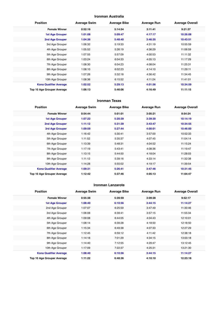#### **Ironman Australia**

| <b>Position</b>               | <b>Average Swim</b> | <b>Average Bike</b> | <b>Average Run</b> | <b>Average Overall</b> |
|-------------------------------|---------------------|---------------------|--------------------|------------------------|
| <b>Female Winner</b>          | 0:52:16             | 5:14:54             | 3:11:41            | 9:21:37                |
| <b>1st Age Grouper</b>        | 1:01:08             | 5:09:47             | 4:17:17            | 10:26:08               |
| 2nd Age Grouper               | 1:04:36             | 5:48:40             | 3:46:35            | 10:43:51               |
| 3rd Age Grouper               | 1:06:32             | 5:19:33             | 4:31:19            | 10:55:59               |
| 4th Age Grouper               | 1:05:52             | 5:26:19             | 4:36:29            | 11:06:59               |
| 5th Age Grouper               | 1:07:55             | 5:57:09             | 4:00:53            | 11:11:32               |
| 6th Age Grouper               | 1:03:24             | 6:04:33             | 4:05:13            | 11:17:29               |
| 7th Age Grouper               | 1:08:30             | 6:04:23             | 4:08:04            | 11:25:31               |
| 8th Age Grouper               | 1:08:10             | 6:02:23             | 4:14:10            | 11:29:11               |
| 9th Age Grouper               | 1:07:26             | 5:32:18             | 4:56:42            | 11:34:45               |
| 10th Age Grouper              | 1:08:36             | 6:15:52             | 4:11:24            | 11:41:01               |
| <b>Kona Qualifier Average</b> | 1:02:52             | 5:29:13             | 4:01:56            | 10:34:59               |
| Top 10 Age Grouper Average    | 1:06:13             | 5:46:06             | 4:16:49            | 11:11:15               |

#### **Ironman Texas**

| <b>Position</b>               | <b>Average Swim</b> | <b>Average Bike</b> | <b>Average Run</b> | <b>Average Overall</b> |
|-------------------------------|---------------------|---------------------|--------------------|------------------------|
| <b>Female Winner</b>          | 0:54:44             | 5:01:01             | 3:05:21            | 8:54:24                |
| <b>1st Age Grouper</b>        | 1:07:22             | 5:20:39             | 3:39:30            | 10:14:19               |
| 2nd Age Grouper               | 1:11:12             | 5:31:39             | 3:43:47            | 10:34:55               |
| 3rd Age Grouper               | 1:09:59             | 5:27:44             | 4:00:01            | 10:46:00               |
| 4th Age Grouper               | 1:16:42             | 5:30:41             | 3:57:00            | 10:52:33               |
| 5th Age Grouper               | 1:11:52             | 5:35:37             | 4:07:45            | 11:04:14               |
| 6th Age Grouper               | 1:13:39             | 5:48:31             | 4:04:52            | 11:15:24               |
| 7th Age Grouper               | 1:17:19             | 5:43:41             | 4:08:36            | 11:19:47               |
| 8th Age Grouper               | 1:13:15             | 5:44:50             | 4:18:04            | 11:28:03               |
| 9th Age Grouper               | 1:11:12             | 5:39:16             | 4:33:14            | 11:32:38               |
| 10th Age Grouper              | 1:14:28             | 5:55:02             | 4:19:17            | 11:39:54               |
| <b>Kona Qualifier Average</b> | 1:09:31             | 5:26:41             | 3:47:46            | 10:31:45               |
| Top 10 Age Grouper Average    | 1:12:42             | 5:37:46             | 4:05:13            | 11:04:47               |

#### **Ironman Lanzarote**

| <b>Position</b>               | <b>Average Swim</b> | <b>Average Bike</b> | <b>Average Run</b> | <b>Average Overall</b> |
|-------------------------------|---------------------|---------------------|--------------------|------------------------|
| <b>Female Winner</b>          | 0:55:38             | 5:39:59             | 3:09:28            | 9:52:17                |
| <b>1st Age Grouper</b>        | 1:08:40             | 6:10:56             | 3:44:15            | 11:14:27               |
| 2nd Age Grouper               | 1:07:07             | 6:25:59             | 3:47:49            | 11:30:46               |
| 3rd Age Grouper               | 1:06:08             | 6:39:41             | 3:57:15            | 11:55:34               |
| 4th Age Grouper               | 1:09:08             | 6:44:05             | 4:04:43            | 12:10:01               |
| 5th Age Grouper               | 1:08:14             | 6:39:28             | 4:18:50            | 12:18:50               |
| 6th Age Grouper               | 1:15:34             | 6:49:38             | 4:07:33            | 12:27:29               |
| 7th Age Grouper               | 1:12:45             | 6:59:12             | 4:11:42            | 12:38:18               |
| 8th Age Grouper               | 1:14:18             | 7:01:29             | 4:34:15            | 13:03:18               |
| 9th Age Grouper               | 1:14:40             | 7:12:55             | 4:29:47            | 13:12:45               |
| 10th Age Grouper              | 1:17:09             | 7:22:37             | 4:25:31            | 13:21:30               |
| <b>Kona Qualifier Average</b> | 1:08:40             | 6:10:56             | 3:44:15            | 11:14:27               |
| Top 10 Age Grouper Average    | 1:11:22             | 6:48:36             | 4:10:10            | 12:23:18               |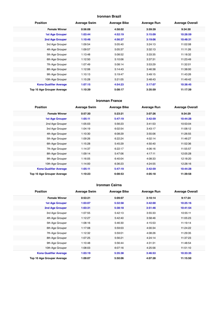#### **Ironman Brazil**

| <b>Position</b>               | <b>Average Swim</b> | <b>Average Bike</b> | <b>Average Run</b> | <b>Average Overall</b> |
|-------------------------------|---------------------|---------------------|--------------------|------------------------|
| <b>Female Winner</b>          | 0:56:08             | 4:58:02             | 3:59:39            | 9:34:30                |
| <b>1st Age Grouper</b>        | 1:03:44             | 4:52:19             | 3:15:09            | 10:28:59               |
| 2nd Age Grouper               | 1:10:46             | 4:56:27             | 3:19:06            | 10:48:31               |
| 3rd Age Grouper               | 1:09:54             | 5:05:40             | 3:24:13            | 11:02:08               |
| 4th Age Grouper               | 1:09:57             | 5:05:37             | 3:32:13            | 11:11:26               |
| 5th Age Grouper               | 1:13:48             | 5:08:52             | 3:33:35            | 11:18:32               |
| 6th Age Grouper               | 1:12:50             | 5:10:06             | 3:37:31            | 11:23:49               |
| 7th Age Grouper               | 1:07:49             | 5:08:14             | 3:53:29            | 11:32:01               |
| 8th Age Grouper               | 1:12:06             | 5:14:43             | 3:46:38            | 11:38:00               |
| 9th Age Grouper               | 1:10:13             | 5:19:47             | 3:49:15            | 11:43:26               |
| 10th Age Grouper              | 1:15:28             | 5:21:05             | 3:48:43            | 11:49:42               |
| <b>Kona Qualifier Average</b> | 1:07:15             | 4:54:23             | 3:17:07            | 10:38:45               |
| Top 10 Age Grouper Average    | 1:10:39             | 5:08:17             | 3:35:59            | 11:17:39               |

#### **Ironman France**

| <b>Position</b>               | <b>Average Swim</b> | <b>Average Bike</b> | <b>Average Run</b> | <b>Average Overall</b> |
|-------------------------------|---------------------|---------------------|--------------------|------------------------|
| <b>Female Winner</b>          | 0:57:30             | 5:23:21             | 3:07:26            | 9:34:29                |
| <b>1st Age Grouper</b>        | 1:05:11             | 5:47:19             | 3:42:59            | 10:44:28               |
| 2nd Age Grouper               | 1:05:03             | 5:56:23             | 3:41:53            | 10:53:04               |
| 3rd Age Grouper               | 1:04:19             | 6:02:54             | 3:43:17            | 11:08:12               |
| 4th Age Grouper               | 1:10:30             | 6:08:29             | 3:55:06            | 11:26:55               |
| 5th Age Grouper               | 1:09:26             | 6:22:24             | 4:02:14            | 11:46:27               |
| 6th Age Grouper               | 1:15:28             | 5:45:29             | 4:50:40            | 11:52:36               |
| 7th Age Grouper               | 1:14:37             | 6:22:17             | 4:06:16            | 11:55:57               |
| 8th Age Grouper               | 1:09:14             | 5:47:06             | 4:17:11            | 12:05:28               |
| 9th Age Grouper               | 1:16:05             | 6:40:04             | 4:08:33            | 12:18:20               |
| 10th Age Grouper              | 1:14:00             | 6:36:23             | 4:24:55            | 12:28:16               |
| <b>Kona Qualifier Average</b> | 1:05:11             | 5:47:19             | 3:42:59            | 10:44:28               |
| Top 10 Age Grouper Average    | 1:10:23             | 6:08:53             | 4:05:18            | 11:39:58               |

#### **Ironman Cairns**

| <b>Position</b>               | <b>Average Swim</b> | <b>Average Bike</b> | <b>Average Run</b> | <b>Average Overall</b> |
|-------------------------------|---------------------|---------------------|--------------------|------------------------|
| <b>Female Winner</b>          | 0:53:21             | 5:09:07             | 3:10:14            | 9:17:24                |
| <b>1st Age Grouper</b>        | 1:03:07             | 5:32:58             | 3:42:00            | 10:25:16               |
| 2nd Age Grouper               | 1:03:31             | 5:38:18             | 3:51:46            | 10:41:54               |
| 3rd Age Grouper               | 1:07:55             | 5:42:13             | 3:55:33            | 10:55:11               |
| 4th Age Grouper               | 1:12:27             | 5:42:40             | 3:58:46            | 11:05:23               |
| 5th Age Grouper               | 1:08:16             | 5:46:30             | 4:15:53            | 11:19:14               |
| 6th Age Grouper               | 1:17:08             | 5:59:03             | 4:00:34            | 11:24:22               |
| 7th Age Grouper               | 1:12:32             | 5:59:01             | 4:08:26            | 11:29:35               |
| 8th Age Grouper               | 1:07:25             | 5:56:21             | 4:24:14            | 11:37:23               |
| 9th Age Grouper               | 1:10:48             | 5:56:44             | 4:31:31            | 11:48:54               |
| 10th Age Grouper              | 1:08:03             | 6:07:16             | 4:25:56            | 11:51:10               |
| <b>Kona Qualifier Average</b> | 1:03:19             | 5:35:38             | 3:46:53            | 10:33:35               |
| Top 10 Age Grouper Average    | 1:09:07             | 5:50:06             | 4:07:28            | 11:15:50               |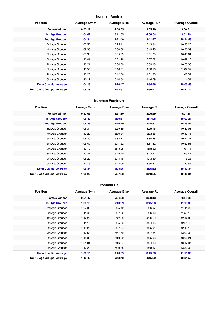#### **Ironman Austria**

| <b>Position</b>               | <b>Average Swim</b> | <b>Average Bike</b> | <b>Average Run</b> | <b>Average Overall</b> |
|-------------------------------|---------------------|---------------------|--------------------|------------------------|
| <b>Female Winner</b>          | 0:53:12             | 4:56:35             | 3:05:10            | 9:00:01                |
| <b>1st Age Grouper</b>        | 1:04:02             | 5:11:55             | 4:08:04            | 9:52:49                |
| 2nd Age Grouper               | 1:04:24             | 5:21:40             | 3:41:27            | 10:14:49               |
| 3rd Age Grouper               | 1:07:55             | 5:25:41             | 3:43:34            | 10:25:23               |
| 4th Age Grouper               | 1:09:35             | 5:00:38             | 3:49:45            | 10:36:39               |
| 5th Age Grouper               | 1:07:33             | 5:35:35             | 3:51:05            | 10:43:01               |
| 6th Age Grouper               | 1:10:41             | 5:31:19             | 3:57:52            | 10:49:16               |
| 7th Age Grouper               | 1:10:21             | 5:34:50             | 3:59:18            | 10:53:38               |
| 8th Age Grouper               | 1:11:55             | 5:40:01             | 4:00:16            | 11:02:32               |
| 9th Age Grouper               | 1:13:26             | 5:42:56             | 4:01:25            | 11:08:59               |
| 10th Age Grouper              | 1:13:11             | 5:44:54             | 4:44:59            | 11:14:54               |
| <b>Kona Qualifier Average</b> | 1:04:13             | 5:16:47             | 3:54:46            | 10:03:49               |
| Top 10 Age Grouper Average    | 1:09:18             | 5:28:57             | 3:59:47            | 10:42:12               |

#### **Ironman Frankfurt**

| <b>Position</b>               | <b>Average Swim</b> | <b>Average Bike</b> | <b>Average Run</b> | <b>Average Overall</b> |
|-------------------------------|---------------------|---------------------|--------------------|------------------------|
| <b>Female Winner</b>          | 0:52:09             | 4:57:30             | 3:06:29            | 9:01:28                |
| 1st Age Grouper               | 1:05:43             | 5:30:51             | 3:47:08            | 10:07:21               |
| 2nd Age Grouper               | 1:05:25             | 5:26:19             | 3:24:37            | 10:19:47               |
| 3rd Age Grouper               | 1:06:34             | 5:29:19             | 3:29:16            | 10:30:03               |
| 4th Age Grouper               | 1:10:29             | 5:30:34             | 3:33:35            | 10:40:16               |
| 5th Age Grouper               | 1:08:30             | 5:38:17             | 3:34:38            | 10:47:31               |
| 6th Age Grouper               | 1:05:49             | 5:41:22             | 3:37:32            | 10:52:58               |
| 7th Age Grouper               | 1:10:10             | 5:43:28             | 4:18:52            | 11:01:14               |
| 8th Age Grouper               | 1:13:37             | 5:45:40             | 3:43:57            | 11:09:41               |
| 9th Age Grouper               | 1:06:20             | 5:44:48             | 4:43:59            | 11:15:26               |
| 10th Age Grouper              | 1:12:16             | 5:48:09             | 3:50:37            | 11:20:56               |
| <b>Kona Qualifier Average</b> | 1:05:34             | 5:28:35             | 3:35:52            | 10:13:34               |
| Top 10 Age Grouper Average    | 1:08:29             | 5:37:53             | 3:48:25            | 10:48:31               |

#### **Ironman UK**

| <b>Position</b>               | <b>Average Swim</b> | <b>Average Bike</b> | <b>Average Run</b> | <b>Average Overall</b> |
|-------------------------------|---------------------|---------------------|--------------------|------------------------|
| <b>Female Winner</b>          | 0:54:47             | 5:34:58             | 3:09:13            | 9:44:26                |
| <b>1st Age Grouper</b>        | 1:08:16             | 6:13:39             | 3:45:08            | 11:16:33               |
| 2nd Age Grouper               | 1:07:36             | 6:25:42             | 3:56:07            | 11:41:03               |
| 3rd Age Grouper               | 1:11:37             | 6:37:20             | 3:56:36            | 11:58:15               |
| 4th Age Grouper               | 1:12:22             | 6:42:20             | 4:06:29            | 12:14:09               |
| 5th Age Grouper               | 1:11:10             | 6:35:53             | 4:24:35            | 12:24:48               |
| 6th Age Grouper               | 1:14:23             | 6:57:57             | 4:25:04            | 12:49:10               |
| 7th Age Grouper               | 1:17:53             | 6:57:59             | 4:27:34            | 13:00:30               |
| 8th Age Grouper               | 1:15:30             | 7:10:02             | 4:25:08            | 13:06:21               |
| 9th Age Grouper               | 1:21:01             | 7:16:37             | 4:24:18            | 13:17:34               |
| 10th Age Grouper              | 1:17:20             | 7:09:38             | 4:48:57            | 13:30:30               |
| <b>Kona Qualifier Average</b> | 1:08:16             | 6:13:39             | 3:45:08            | 11:16:33               |
| Top 10 Age Grouper Average    | 1:13:43             | 6:48:43             | 4:15:59            | 12:31:53               |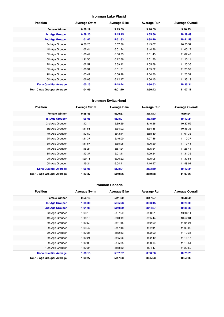#### **Ironman Lake Placid**

| <b>Position</b>               | <b>Average Swim</b> | <b>Average Bike</b> | <b>Average Run</b> | <b>Average Overall</b> |
|-------------------------------|---------------------|---------------------|--------------------|------------------------|
| <b>Female Winner</b>          | 0:58:19             | 5:19:59             | 3:16:59            | 9:40:45                |
| <b>1st Age Grouper</b>        | 0:59:25             | 5:45:15             | 3:35:36            | 10:29:09               |
| 2nd Age Grouper               | 1:01:02             | 5:51:33             | 3:38:10            | 10:41:59               |
| 3rd Age Grouper               | 0:58:28             | 5:57:36             | 3:43:07            | 10:50:52               |
| 4th Age Grouper               | 1:02:44             | 6:01:24             | 3:44:26            | 11:00:17               |
| 5th Age Grouper               | 1:06:44             | 6:00:33             | 3:51:45            | 11:07:47               |
| 6th Age Grouper               | 1:11:55             | 6:12:36             | 3:31:20            | 11:13:11               |
| 7th Age Grouper               | 1:02:57             | 5:59:42             | 4:05:59            | 11:20:36               |
| 8th Age Grouper               | 1:08:31             | 6:01:51             | 4:05:52            | 11:25:37               |
| 9th Age Grouper               | 1:03:41             | 6:08:49             | 4:04:30            | 11:28:59               |
| 10th Age Grouper              | 1:06:03             | 6:12:17             | 4:06:15            | 11:33:19               |
| <b>Kona Qualifier Average</b> | 1:00:13             | 5:48:24             | 3:36:53            | 10:35:34               |
| Top 10 Age Grouper Average    | 1:04:09             | 6:01:10             | 3:50:42            | 11:07:11               |

#### **Ironman Switzerland**

| <b>Position</b>                   | <b>Average Swim</b> | <b>Average Bike</b> | <b>Average Run</b> | <b>Average Overall</b> |
|-----------------------------------|---------------------|---------------------|--------------------|------------------------|
| <b>Female Winner</b>              | 0:58:45             | 5:00:37             | 3:13:43            | 9:16:24                |
| <b>1st Age Grouper</b>            | 1:06:08             | 5:28:01             | 3:33:59            | 10:12:24               |
| 2nd Age Grouper                   | 1:12:14             | 5:39:29             | 3:40:26            | 10:37:52               |
| 3rd Age Grouper                   | 1:11:51             | 5:34:02             | 3:54:48            | 10:46:33               |
| 4th Age Grouper                   | 1:13:50             | 5:43:44             | 3:58:49            | 11:01:38               |
| 5th Age Grouper                   | 1:11:37             | 5:46:00             | 4:07:46            | 11:10:37               |
| 6th Age Grouper                   | 1:11:57             | 5:55:05             | 4:06:29            | 11:19:41               |
| 7th Age Grouper                   | 1:15:24             | 5:57:24             | 4:05:54            | 11:25:44               |
| 8th Age Grouper                   | 1:13:37             | 6:01:11             | 4:09:24            | 11:31:35               |
| 9th Age Grouper                   | 1:20:11             | 6:06:22             | 4:05:05            | 11:39:51               |
| 10th Age Grouper                  | 1:19:24             | 6:04:41             | 4:16:57            | 11:48:01               |
| <b>Kona Qualifier Average</b>     | 1:06:08             | 5:28:01             | 3:33:59            | 10:12:24               |
| <b>Top 10 Age Grouper Average</b> | 1:13:37             | 5:49:36             | 3:59:58            | 11:09:23               |

#### **Ironman Canada**

| <b>Position</b>               | <b>Average Swim</b> | <b>Average Bike</b> | <b>Average Run</b> | <b>Average Overall</b> |
|-------------------------------|---------------------|---------------------|--------------------|------------------------|
| <b>Female Winner</b>          | 0:56:18             | 5:11:00             | 3:17:27            | 9:28:52                |
| <b>1st Age Grouper</b>        | 1:08:30             | 5:35:23             | 3:33:15            | 10:23:09               |
| 2nd Age Grouper               | 1:04:05             | 5:40:30             | 3:44:37            | 10:35:38               |
| 3rd Age Grouper               | 1:08:18             | 5:37:59             | 3:53:21            | 10:46:11               |
| 4th Age Grouper               | 1:10:10             | 5:40:19             | 3:55:44            | 10:52:31               |
| 5th Age Grouper               | 1:10:59             | 5:51:15             | 3:52:02            | 11:01:24               |
| 6th Age Grouper               | 1:08:47             | 5:47:48             | 4:02:11            | 11:06:02               |
| 7th Age Grouper               | 1:10:36             | 5:52:13             | 4:02:02            | 11:12:34               |
| 8th Age Grouper               | 1:10:21             | 5:55:56             | 4:02:42            | 11:16:47               |
| 9th Age Grouper               | 1:12:06             | 5:55:35             | 4:03:14            | 11:18:54               |
| 10th Age Grouper              | 1:10:34             | 5:58:32             | 4:04:47            | 11:22:50               |
| <b>Kona Qualifier Average</b> | 1:06:18             | 5:37:57             | 3:38:56            | 10:29:23               |
| Top 10 Age Grouper Average    | 1:09:27             | 5:47:33             | 3:55:23            | 10:59:36               |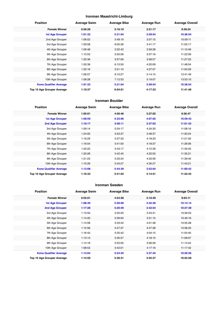#### **Ironman Maastricht-Limburg**

| <b>Position</b>               | <b>Average Swim</b> | <b>Average Bike</b> | <b>Average Run</b> | <b>Average Overall</b> |
|-------------------------------|---------------------|---------------------|--------------------|------------------------|
| <b>Female Winner</b>          | 0:56:26             | 5:16:10             | 3:21:17            | 9:39:24                |
| <b>1st Age Grouper</b>        | 1:01:33             | 5:31:04             | 3:59:54            | 10:38:54               |
| 2nd Age Grouper               | 1:06:02             | 5:48:19             | 3:57:15            | 10:59:11               |
| 3rd Age Grouper               | 1:09:58             | 6:05:36             | 3:41:17            | 11:05:17               |
| 4th Age Grouper               | 1:09:48             | 5:52:42             | 3:59:28            | 11:10:46               |
| 5th Age Grouper               | 1:13:53             | 5:55:06             | 3:57:16            | 11:22:09               |
| 6th Age Grouper               | 1:20:36             | 5:57:09             | 3:58:57            | 11:27:23               |
| 7th Age Grouper               | 1:05:39             | 6:15:50             | 4:20:09            | 11:48:54               |
| 8th Age Grouper               | 1:22:16             | 5:51:10             | 4:27:57            | 11:50:29               |
| 9th Age Grouper               | 1:06:57             | 6:10:27             | 5:14:15            | 12:41:49               |
| 10th Age Grouper              | 1:09:28             | 7:12:53             | 5:19:07            | 13:53:10               |
| <b>Kona Qualifier Average</b> | 1:01:33             | 5:31:04             | 3:59:54            | 10:38:54               |
| Top 10 Age Grouper Average    | 1:10:37             | 6:04:01             | 4:17:33            | 11:41:48               |

#### **Ironman Boulder**

| <b>Position</b>                   | <b>Average Swim</b> | <b>Average Bike</b> | <b>Average Run</b> | <b>Average Overall</b> |
|-----------------------------------|---------------------|---------------------|--------------------|------------------------|
| <b>Female Winner</b>              | 1:05:01             | 4:56:46             | 3:27:02            | 9:36:47                |
| <b>1st Age Grouper</b>            | 1:09:59             | 5:33:06             | 4:07:05            | 10:59:43               |
| 2nd Age Grouper                   | 1:16:17             | 5:56:11             | 3:37:03            | 11:01:42               |
| 3rd Age Grouper                   | 1:09:14             | 5:24:17             | 4:24:30            | 11:08:16               |
| 4th Age Grouper                   | 1:24:00             | 5:53:37             | 3:48:37            | 11:20:24               |
| 5th Age Grouper                   | 1:16:29             | 5:37:33             | 4:18:33            | 11:21:50               |
| 6th Age Grouper                   | 1:16:54             | 5:41:00             | 4:18:37            | 11:26:06               |
| 7th Age Grouper                   | 1:20:22             | 5:43:17             | 4:12:39            | 11:30:45               |
| 8th Age Grouper                   | 1:20:26             | 5:42:45             | 4:22:03            | 11:35:21               |
| 9th Age Grouper                   | 1:21:23             | 5:33:34             | 4:33:56            | 11:39:40               |
| 10th Age Grouper                  | 1:10:26             | 5:45:27             | 4:35:27            | 11:43:21               |
| <b>Kona Qualifier Average</b>     | 1:13:08             | 5:44:39             | 3:52:04            | 11:00:42               |
| <b>Top 10 Age Grouper Average</b> | 1:16:33             | 5:41:04             | 4:13:51            | 11:22:43               |

#### **Ironman Sweden**

| <b>Position</b>               | <b>Average Swim</b> | <b>Average Bike</b> | <b>Average Run</b> | <b>Average Overall</b> |
|-------------------------------|---------------------|---------------------|--------------------|------------------------|
| <b>Female Winner</b>          | 0:55:01             | 4:54:58             | 3:10:40            | 9:04:11                |
| 1st Age Grouper               | 1:08:40             | 5:28:00             | 3:32:36            | 10:14:14               |
| 2nd Age Grouper               | 1:17:28             | 5:20:49             | 3:42:54            | 10:27:39               |
| 3rd Age Grouper               | 1:13:50             | 5:35:20             | 3:43:41            | 10:39:53               |
| 4th Age Grouper               | 1:14:20             | 5:36:00             | 3:51:15            | 10:49:16               |
| 5th Age Grouper               | 1:14:58             | 5:33:42             | 4:01:48            | 10:55:28               |
| 6th Age Grouper               | 1:15:56             | 5:47:37             | 3:47:38            | 10:58:25               |
| 7th Age Grouper               | 1:16:42             | 5:35:42             | 4:04:15            | 11:04:40               |
| 8th Age Grouper               | 1:13:13             | 5:30:57             | 4:18:10            | 11:08:07               |
| 9th Age Grouper               | 1:14:18             | 5:55:00             | 3:56:39            | 11:14:24               |
| 10th Age Grouper              | 1:08:53             | 5:42:01             | 4:17:16            | 11:17:42               |
| <b>Kona Qualifier Average</b> | 1:13:04             | 5:24:25             | 3:37:45            | 10:20:56               |
| Top 10 Age Grouper Average    | 1:13:50             | 5:36:31             | 3:55:37            | 10:52:59               |